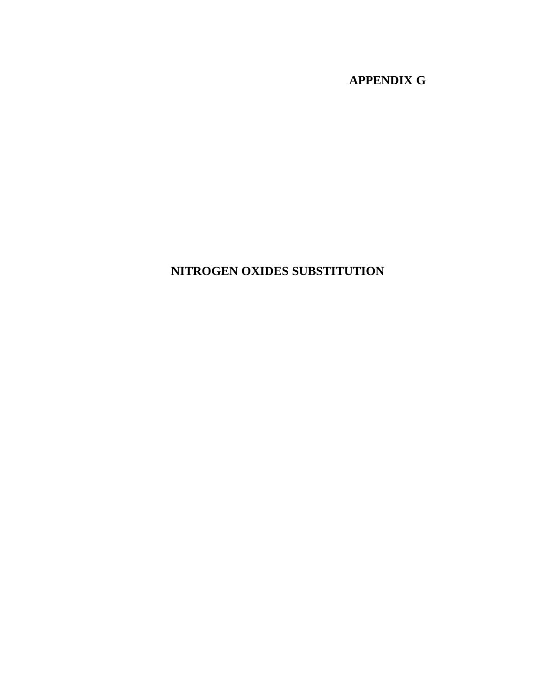# **APPENDIX G**

# **NITROGEN OXIDES SUBSTITUTION**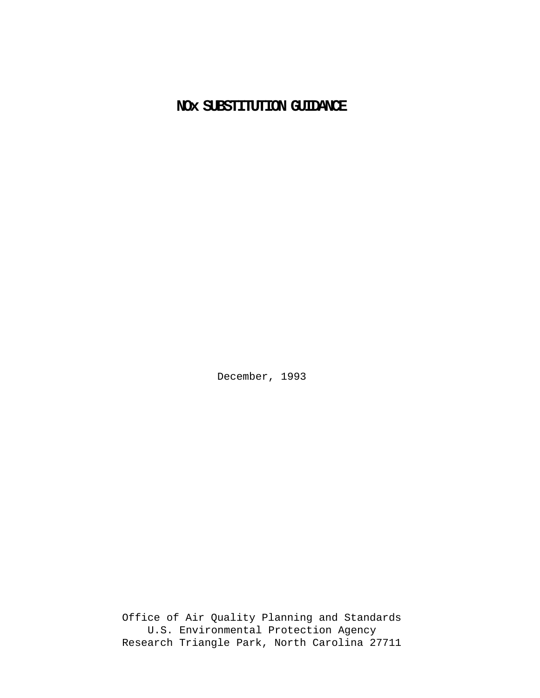# **NOx SUBSTITUTION GUIDANCE**

December, 1993

Office of Air Quality Planning and Standards U.S. Environmental Protection Agency Research Triangle Park, North Carolina 27711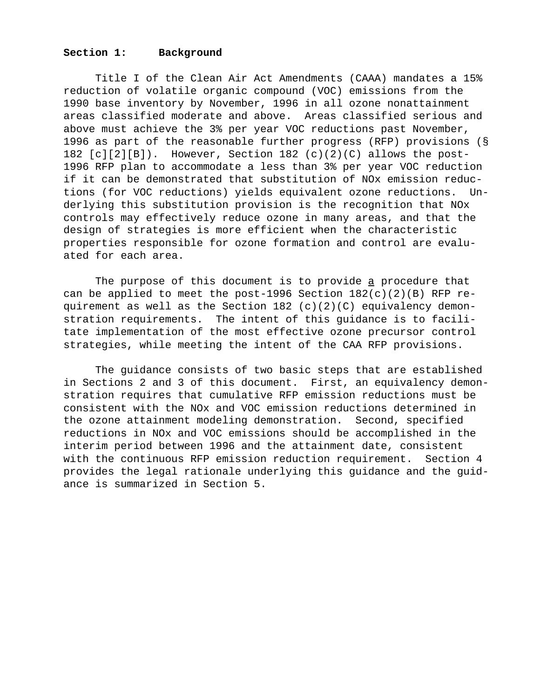### **Section 1: Background**

Title I of the Clean Air Act Amendments (CAAA) mandates a 15% reduction of volatile organic compound (VOC) emissions from the 1990 base inventory by November, 1996 in all ozone nonattainment areas classified moderate and above. Areas classified serious and above must achieve the 3% per year VOC reductions past November, 1996 as part of the reasonable further progress (RFP) provisions (§ 182 [c][2][B]). However, Section 182 (c)(2)(C) allows the post-1996 RFP plan to accommodate a less than 3% per year VOC reduction if it can be demonstrated that substitution of NOx emission reductions (for VOC reductions) yields equivalent ozone reductions. Underlying this substitution provision is the recognition that NOx controls may effectively reduce ozone in many areas, and that the design of strategies is more efficient when the characteristic properties responsible for ozone formation and control are evaluated for each area.

The purpose of this document is to provide a procedure that can be applied to meet the post-1996 Section  $182(c)(2)(B)$  RFP requirement as well as the Section  $182$  (c)(2)(C) equivalency demonstration requirements. The intent of this guidance is to facilitate implementation of the most effective ozone precursor control strategies, while meeting the intent of the CAA RFP provisions.

The guidance consists of two basic steps that are established in Sections 2 and 3 of this document. First, an equivalency demonstration requires that cumulative RFP emission reductions must be consistent with the NOx and VOC emission reductions determined in the ozone attainment modeling demonstration. Second, specified reductions in NOx and VOC emissions should be accomplished in the interim period between 1996 and the attainment date, consistent with the continuous RFP emission reduction requirement. Section 4 provides the legal rationale underlying this guidance and the guidance is summarized in Section 5.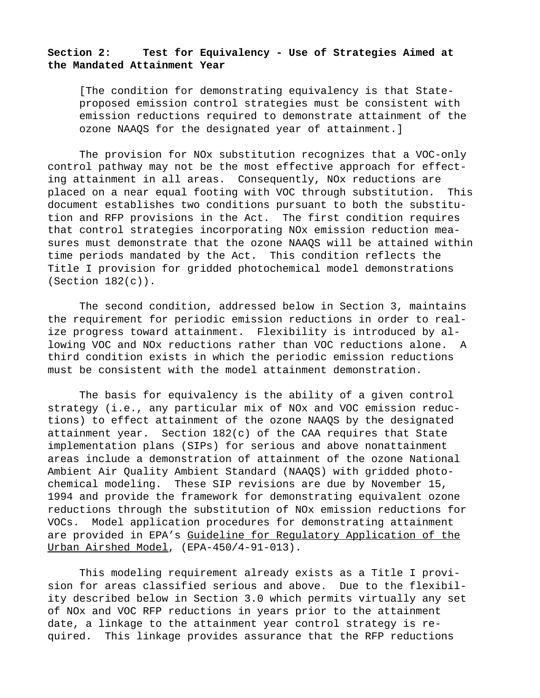# **Section 2: Test for Equivalency - Use of Strategies Aimed at the Mandated Attainment Year**

[The condition for demonstrating equivalency is that Stateproposed emission control strategies must be consistent with emission reductions required to demonstrate attainment of the ozone NAAQS for the designated year of attainment.]

The provision for NOx substitution recognizes that a VOC-only control pathway may not be the most effective approach for effecting attainment in all areas. Consequently, NOx reductions are placed on a near equal footing with VOC through substitution. This document establishes two conditions pursuant to both the substitution and RFP provisions in the Act. The first condition requires that control strategies incorporating NOx emission reduction measures must demonstrate that the ozone NAAQS will be attained within time periods mandated by the Act. This condition reflects the Title I provision for gridded photochemical model demonstrations (Section 182(c)).

The second condition, addressed below in Section 3, maintains the requirement for periodic emission reductions in order to realize progress toward attainment. Flexibility is introduced by allowing VOC and NOx reductions rather than VOC reductions alone. A third condition exists in which the periodic emission reductions must be consistent with the model attainment demonstration.

The basis for equivalency is the ability of a given control strategy (i.e., any particular mix of NOx and VOC emission reductions) to effect attainment of the ozone NAAQS by the designated attainment year. Section 182(c) of the CAA requires that State implementation plans (SIPs) for serious and above nonattainment areas include a demonstration of attainment of the ozone National Ambient Air Quality Ambient Standard (NAAQS) with gridded photochemical modeling. These SIP revisions are due by November 15, 1994 and provide the framework for demonstrating equivalent ozone reductions through the substitution of NOx emission reductions for VOCs. Model application procedures for demonstrating attainment are provided in EPA's Guideline for Regulatory Application of the Urban Airshed Model, (EPA-450/4-91-013).

This modeling requirement already exists as a Title I provision for areas classified serious and above. Due to the flexibility described below in Section 3.0 which permits virtually any set of NOx and VOC RFP reductions in years prior to the attainment date, a linkage to the attainment year control strategy is required. This linkage provides assurance that the RFP reductions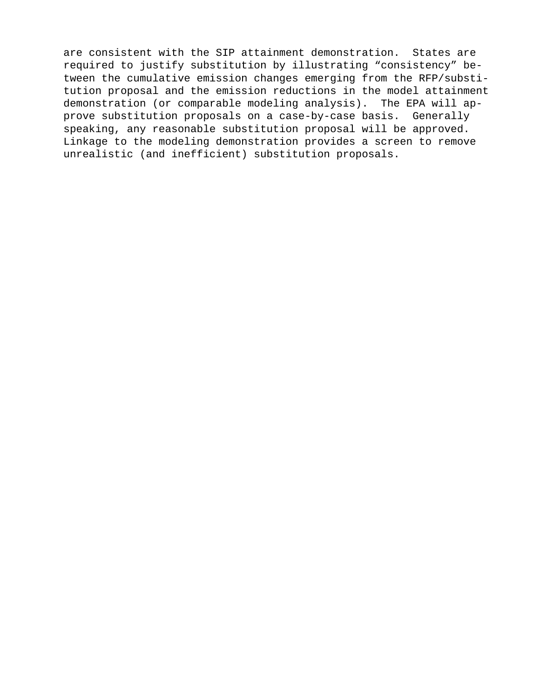are consistent with the SIP attainment demonstration. States are required to justify substitution by illustrating "consistency" between the cumulative emission changes emerging from the RFP/substitution proposal and the emission reductions in the model attainment demonstration (or comparable modeling analysis). The EPA will approve substitution proposals on a case-by-case basis. Generally speaking, any reasonable substitution proposal will be approved. Linkage to the modeling demonstration provides a screen to remove unrealistic (and inefficient) substitution proposals.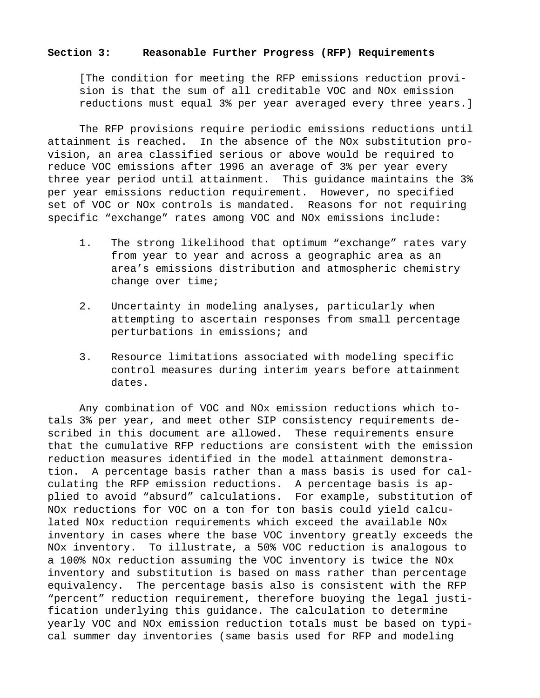### **Section 3: Reasonable Further Progress (RFP) Requirements**

[The condition for meeting the RFP emissions reduction provision is that the sum of all creditable VOC and NOx emission reductions must equal 3% per year averaged every three years.]

The RFP provisions require periodic emissions reductions until attainment is reached. In the absence of the NOx substitution provision, an area classified serious or above would be required to reduce VOC emissions after 1996 an average of 3% per year every three year period until attainment. This guidance maintains the 3% per year emissions reduction requirement. However, no specified set of VOC or NOx controls is mandated. Reasons for not requiring specific "exchange" rates among VOC and NOx emissions include:

- 1. The strong likelihood that optimum "exchange" rates vary from year to year and across a geographic area as an area's emissions distribution and atmospheric chemistry change over time;
- 2. Uncertainty in modeling analyses, particularly when attempting to ascertain responses from small percentage perturbations in emissions; and
- 3. Resource limitations associated with modeling specific control measures during interim years before attainment dates.

Any combination of VOC and NOx emission reductions which totals 3% per year, and meet other SIP consistency requirements described in this document are allowed. These requirements ensure that the cumulative RFP reductions are consistent with the emission reduction measures identified in the model attainment demonstration. A percentage basis rather than a mass basis is used for calculating the RFP emission reductions. A percentage basis is applied to avoid "absurd" calculations. For example, substitution of NOx reductions for VOC on a ton for ton basis could yield calculated NOx reduction requirements which exceed the available NOx inventory in cases where the base VOC inventory greatly exceeds the NOx inventory. To illustrate, a 50% VOC reduction is analogous to a 100% NOx reduction assuming the VOC inventory is twice the NOx inventory and substitution is based on mass rather than percentage equivalency. The percentage basis also is consistent with the RFP "percent" reduction requirement, therefore buoying the legal justification underlying this guidance. The calculation to determine yearly VOC and NOx emission reduction totals must be based on typical summer day inventories (same basis used for RFP and modeling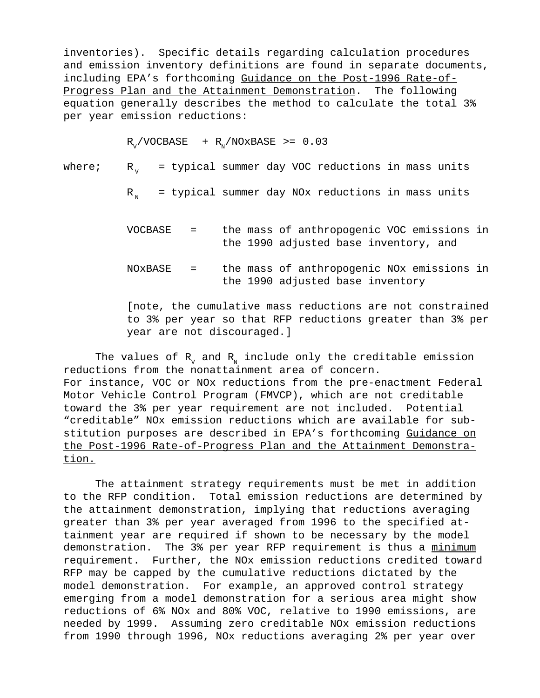inventories). Specific details regarding calculation procedures and emission inventory definitions are found in separate documents, including EPA's forthcoming Guidance on the Post-1996 Rate-of-Progress Plan and the Attainment Demonstration. The following equation generally describes the method to calculate the total 3% per year emission reductions:

 $R_v/VOCBASE$  +  $R_v/NOxBASE$  >= 0.03

where;  $R_{1}$  = typical summer day VOC reductions in mass units

 $R_n$  = typical summer day NOx reductions in mass units

- VOCBASE = the mass of anthropogenic VOC emissions in the 1990 adjusted base inventory, and
- NOxBASE = the mass of anthropogenic NOx emissions in the 1990 adjusted base inventory

[note, the cumulative mass reductions are not constrained to 3% per year so that RFP reductions greater than 3% per year are not discouraged.]

The values of  $R_v$  and  $R_N$  include only the creditable emission reductions from the nonattainment area of concern. For instance, VOC or NOx reductions from the pre-enactment Federal Motor Vehicle Control Program (FMVCP), which are not creditable toward the 3% per year requirement are not included. Potential "creditable" NOx emission reductions which are available for substitution purposes are described in EPA's forthcoming Guidance on the Post-1996 Rate-of-Progress Plan and the Attainment Demonstration.

The attainment strategy requirements must be met in addition to the RFP condition. Total emission reductions are determined by the attainment demonstration, implying that reductions averaging greater than 3% per year averaged from 1996 to the specified attainment year are required if shown to be necessary by the model demonstration. The 3% per year RFP requirement is thus a minimum requirement. Further, the NOx emission reductions credited toward RFP may be capped by the cumulative reductions dictated by the model demonstration. For example, an approved control strategy emerging from a model demonstration for a serious area might show reductions of 6% NOx and 80% VOC, relative to 1990 emissions, are needed by 1999. Assuming zero creditable NOx emission reductions from 1990 through 1996, NOx reductions averaging 2% per year over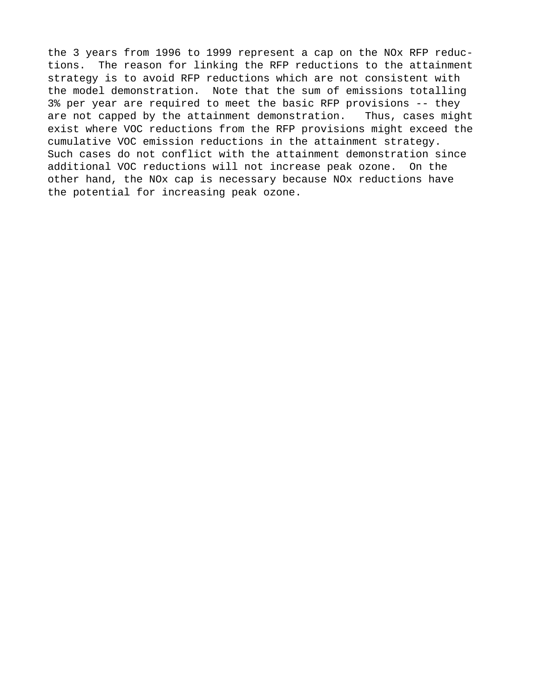the 3 years from 1996 to 1999 represent a cap on the NOx RFP reductions. The reason for linking the RFP reductions to the attainment strategy is to avoid RFP reductions which are not consistent with the model demonstration. Note that the sum of emissions totalling 3% per year are required to meet the basic RFP provisions -- they are not capped by the attainment demonstration. Thus, cases might exist where VOC reductions from the RFP provisions might exceed the cumulative VOC emission reductions in the attainment strategy. Such cases do not conflict with the attainment demonstration since additional VOC reductions will not increase peak ozone. On the other hand, the NOx cap is necessary because NOx reductions have the potential for increasing peak ozone.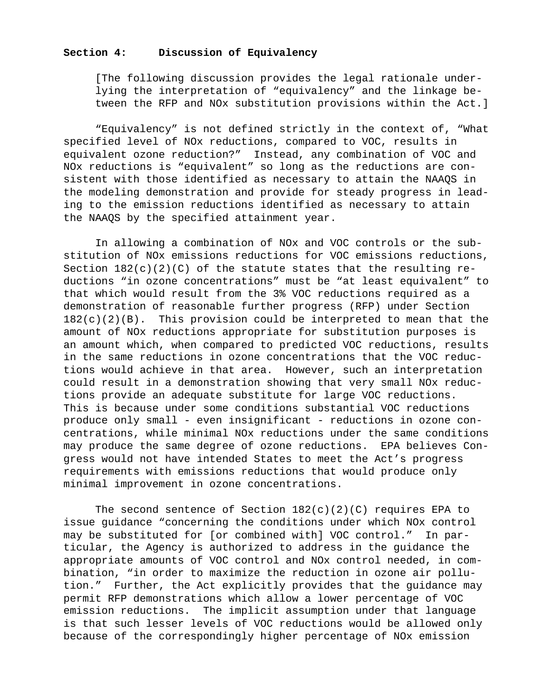## **Section 4: Discussion of Equivalency**

[The following discussion provides the legal rationale underlying the interpretation of "equivalency" and the linkage between the RFP and NOx substitution provisions within the Act.]

"Equivalency" is not defined strictly in the context of, "What specified level of NOx reductions, compared to VOC, results in equivalent ozone reduction?" Instead, any combination of VOC and NOx reductions is "equivalent" so long as the reductions are consistent with those identified as necessary to attain the NAAQS in the modeling demonstration and provide for steady progress in leading to the emission reductions identified as necessary to attain the NAAQS by the specified attainment year.

In allowing a combination of NOx and VOC controls or the substitution of NOx emissions reductions for VOC emissions reductions, Section  $182(c)(2)(C)$  of the statute states that the resulting reductions "in ozone concentrations" must be "at least equivalent" to that which would result from the 3% VOC reductions required as a demonstration of reasonable further progress (RFP) under Section  $182(c)(2)(B)$ . This provision could be interpreted to mean that the amount of NOx reductions appropriate for substitution purposes is an amount which, when compared to predicted VOC reductions, results in the same reductions in ozone concentrations that the VOC reductions would achieve in that area. However, such an interpretation could result in a demonstration showing that very small NOx reductions provide an adequate substitute for large VOC reductions. This is because under some conditions substantial VOC reductions produce only small - even insignificant - reductions in ozone concentrations, while minimal NOx reductions under the same conditions may produce the same degree of ozone reductions. EPA believes Congress would not have intended States to meet the Act's progress requirements with emissions reductions that would produce only minimal improvement in ozone concentrations.

The second sentence of Section  $182(c)(2)(C)$  requires EPA to issue guidance "concerning the conditions under which NOx control may be substituted for [or combined with] VOC control." In particular, the Agency is authorized to address in the guidance the appropriate amounts of VOC control and NOx control needed, in combination, "in order to maximize the reduction in ozone air pollution." Further, the Act explicitly provides that the guidance may permit RFP demonstrations which allow a lower percentage of VOC emission reductions. The implicit assumption under that language is that such lesser levels of VOC reductions would be allowed only because of the correspondingly higher percentage of NOx emission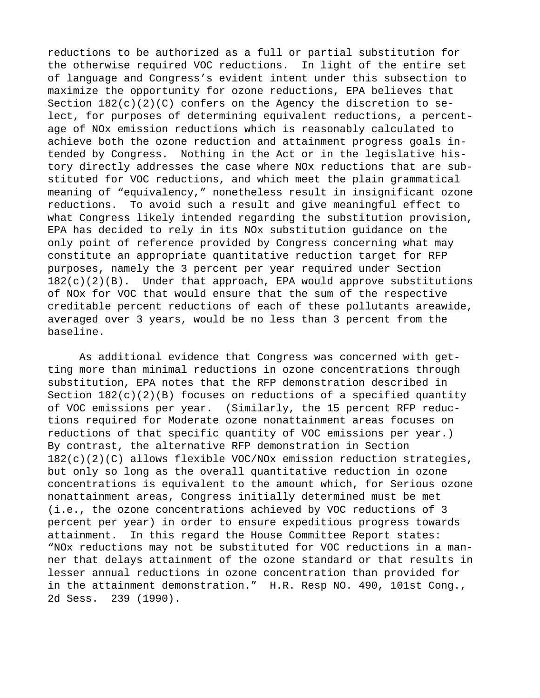reductions to be authorized as a full or partial substitution for the otherwise required VOC reductions. In light of the entire set of language and Congress's evident intent under this subsection to maximize the opportunity for ozone reductions, EPA believes that Section  $182(c)(2)(C)$  confers on the Agency the discretion to select, for purposes of determining equivalent reductions, a percentage of NOx emission reductions which is reasonably calculated to achieve both the ozone reduction and attainment progress goals intended by Congress. Nothing in the Act or in the legislative history directly addresses the case where NOx reductions that are substituted for VOC reductions, and which meet the plain grammatical meaning of "equivalency," nonetheless result in insignificant ozone reductions. To avoid such a result and give meaningful effect to what Congress likely intended regarding the substitution provision, EPA has decided to rely in its NOx substitution guidance on the only point of reference provided by Congress concerning what may constitute an appropriate quantitative reduction target for RFP purposes, namely the 3 percent per year required under Section  $182(c)(2)(B)$ . Under that approach, EPA would approve substitutions of NOx for VOC that would ensure that the sum of the respective creditable percent reductions of each of these pollutants areawide, averaged over 3 years, would be no less than 3 percent from the baseline.

As additional evidence that Congress was concerned with getting more than minimal reductions in ozone concentrations through substitution, EPA notes that the RFP demonstration described in Section  $182(c)(2)(B)$  focuses on reductions of a specified quantity of VOC emissions per year. (Similarly, the 15 percent RFP reductions required for Moderate ozone nonattainment areas focuses on reductions of that specific quantity of VOC emissions per year.) By contrast, the alternative RFP demonstration in Section  $182(c)(2)(C)$  allows flexible VOC/NOx emission reduction strategies, but only so long as the overall quantitative reduction in ozone concentrations is equivalent to the amount which, for Serious ozone nonattainment areas, Congress initially determined must be met (i.e., the ozone concentrations achieved by VOC reductions of 3 percent per year) in order to ensure expeditious progress towards attainment. In this regard the House Committee Report states: "NOx reductions may not be substituted for VOC reductions in a manner that delays attainment of the ozone standard or that results in lesser annual reductions in ozone concentration than provided for in the attainment demonstration." H.R. Resp NO. 490, 101st Cong., 2d Sess. 239 (1990).